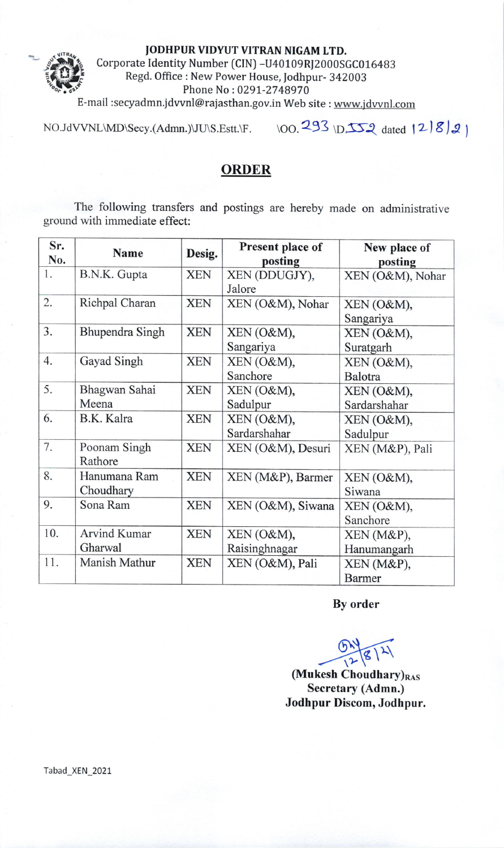## JODHPUR VIDYUT VITRAN NIGAM LTD.



Corporate Identity Number (CIN) -U40109RI2000SGC016483 Regd. Office : New Power House, Jodhpur- 342003 Phone No:0291-2748970

E-mail :secyadmn.jdvvnl@rajasthan.gov.in Web site : www.jdvvnl.com

NO. JdVVNL\MD\S ecy. (Admn.)\JU\S.Estt.\F. \oo.293 \D-lt{ arca lzlS)J

## ORDER

The following transfers and postings are hereby made on administrative ground with immediate effect:

| Sr. | <b>Name</b>         | Desig.     | Present place of  | New place of     |
|-----|---------------------|------------|-------------------|------------------|
| No. |                     |            | posting           | posting          |
| 1.  | B.N.K. Gupta        | <b>XEN</b> | XEN (DDUGJY),     | XEN (O&M), Nohar |
|     |                     |            | Jalore            |                  |
| 2.  | Richpal Charan      | <b>XEN</b> | XEN (O&M), Nohar  | XEN (O&M),       |
|     |                     |            |                   | Sangariya        |
| 3.  | Bhupendra Singh     | <b>XEN</b> | XEN (O&M),        | XEN (O&M),       |
|     |                     |            | Sangariya         | Suratgarh        |
| 4.  | Gayad Singh         | <b>XEN</b> | XEN (O&M),        | XEN (O&M),       |
|     |                     |            | Sanchore          | Balotra          |
| 5.  | Bhagwan Sahai       | <b>XEN</b> | XEN (O&M),        | XEN (O&M),       |
|     | Meena               |            | Sadulpur          | Sardarshahar     |
| 6.  | B.K. Kalra          | <b>XEN</b> | XEN (O&M),        | XEN (O&M),       |
|     |                     |            | Sardarshahar      | Sadulpur         |
| 7.  | Poonam Singh        | <b>XEN</b> | XEN (O&M), Desuri | XEN (M&P), Pali  |
|     | Rathore             |            |                   |                  |
| 8.  | Hanumana Ram        | <b>XEN</b> | XEN (M&P), Barmer | XEN (O&M),       |
|     | Choudhary           |            |                   | Siwana           |
| 9.  | Sona Ram            | <b>XEN</b> | XEN (O&M), Siwana | XEN (O&M),       |
|     |                     |            |                   | Sanchore         |
| 10. | <b>Arvind Kumar</b> | <b>XEN</b> | XEN (O&M),        | XEN (M&P),       |
|     | Gharwal             |            | Raisinghnagar     | Hanumangarh      |
| 11. | Manish Mathur       | <b>XEN</b> | XEN (O&M), Pali   | XEN (M&P),       |
|     |                     |            |                   | <b>Barmer</b>    |

By order

 $8|2|$  $\widetilde{\mathcal{C}}$ 

 $(Mu$ kesh Choudhary) $_{RAS}$ Secretary (Admn.) Jodhpur Discom, Jodhpur.